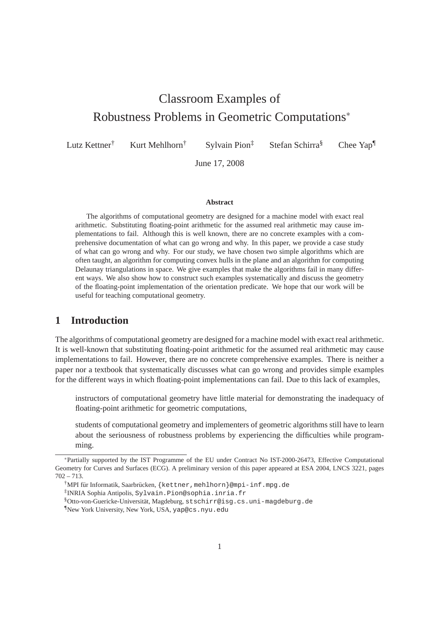# Classroom Examples of Robustness Problems in Geometric Computations<sup>∗</sup>

Lutz Kettner<sup>†</sup> Kurt Mehlhorn<sup>†</sup> Sylvain Pion<sup>‡</sup> Stefan Schirra<sup>§</sup> Chee Yap<sup>¶</sup>

June 17, 2008

### **Abstract**

The algorithms of computational geometry are designed for a machine model with exact real arithmetic. Substituting floating-point arithmetic for the assumed real arithmetic may cause implementations to fail. Although this is well known, there are no concrete examples with a comprehensive documentation of what can go wrong and why. In this paper, we provide a case study of what can go wrong and why. For our study, we have chosen two simple algorithms which are often taught, an algorithm for computing convex hulls in the plane and an algorithm for computing Delaunay triangulations in space. We give examples that make the algorithms fail in many different ways. We also show how to construct such examples systematically and discuss the geometry of the floating-point implementation of the orientation predicate. We hope that our work will be useful for teaching computational geometry.

# **1 Introduction**

The algorithms of computational geometry are designed for a machine model with exact real arithmetic. It is well-known that substituting floating-point arithmetic for the assumed real arithmetic may cause implementations to fail. However, there are no concrete comprehensive examples. There is neither a paper nor a textbook that systematically discusses what can go wrong and provides simple examples for the different ways in which floating-point implementations can fail. Due to this lack of examples,

instructors of computational geometry have little material for demonstrating the inadequacy of floating-point arithmetic for geometric computations,

students of computational geometry and implementers of geometric algorithms still have to learn about the seriousness of robustness problems by experiencing the difficulties while programming.

<sup>∗</sup>Partially supported by the IST Programme of the EU under Contract No IST-2000-26473, Effective Computational Geometry for Curves and Surfaces (ECG). A preliminary version of this paper appeared at ESA 2004, LNCS 3221, pages  $702 - 713.$ 

<sup>&</sup>lt;sup>†</sup>MPI für Informatik, Saarbrücken, {kettner,mehlhorn}@mpi-inf.mpq.de

<sup>‡</sup> INRIA Sophia Antipolis, Sylvain.Pion@sophia.inria.fr

<sup>§</sup>Otto-von-Guericke-Universität, Magdeburg, stschirr@isg.cs.uni-magdeburg.de

<sup>¶</sup>New York University, New York, USA, yap@cs.nyu.edu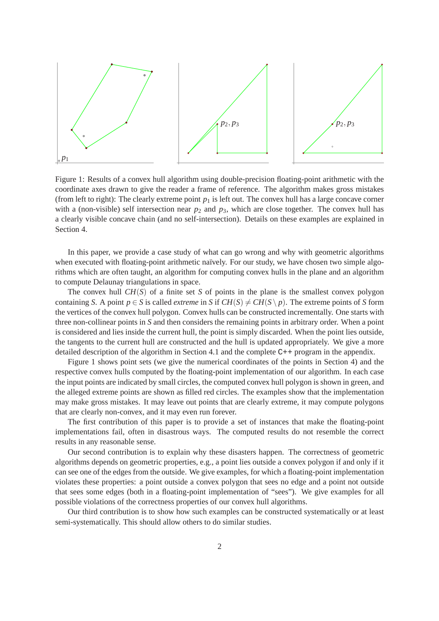

Figure 1: Results of a convex hull algorithm using double-precision floating-point arithmetic with the coordinate axes drawn to give the reader a frame of reference. The algorithm makes gross mistakes (from left to right): The clearly extreme point  $p_1$  is left out. The convex hull has a large concave corner with a (non-visible) self intersection near  $p_2$  and  $p_3$ , which are close together. The convex hull has a clearly visible concave chain (and no self-intersection). Details on these examples are explained in Section 4.

In this paper, we provide a case study of what can go wrong and why with geometric algorithms when executed with floating-point arithmetic naïvely. For our study, we have chosen two simple algorithms which are often taught, an algorithm for computing convex hulls in the plane and an algorithm to compute Delaunay triangulations in space.

The convex hull  $CH(S)$  of a finite set *S* of points in the plane is the smallest convex polygon containing *S*. A point  $p \in S$  is called *extreme* in *S* if  $CH(S) \neq CH(S \setminus p)$ . The extreme points of *S* form the vertices of the convex hull polygon. Convex hulls can be constructed incrementally. One starts with three non-collinear points in *S* and then considers the remaining points in arbitrary order. When a point is considered and lies inside the current hull, the point is simply discarded. When the point lies outside, the tangents to the current hull are constructed and the hull is updated appropriately. We give a more detailed description of the algorithm in Section 4.1 and the complete C++ program in the appendix.

Figure 1 shows point sets (we give the numerical coordinates of the points in Section 4) and the respective convex hulls computed by the floating-point implementation of our algorithm. In each case the input points are indicated by small circles, the computed convex hull polygon is shown in green, and the alleged extreme points are shown as filled red circles. The examples show that the implementation may make gross mistakes. It may leave out points that are clearly extreme, it may compute polygons that are clearly non-convex, and it may even run forever.

The first contribution of this paper is to provide a set of instances that make the floating-point implementations fail, often in disastrous ways. The computed results do not resemble the correct results in any reasonable sense.

Our second contribution is to explain why these disasters happen. The correctness of geometric algorithms depends on geometric properties, e.g., a point lies outside a convex polygon if and only if it can see one of the edges from the outside. We give examples, for which a floating-point implementation violates these properties: a point outside a convex polygon that sees no edge and a point not outside that sees some edges (both in a floating-point implementation of "sees"). We give examples for all possible violations of the correctness properties of our convex hull algorithms.

Our third contribution is to show how such examples can be constructed systematically or at least semi-systematically. This should allow others to do similar studies.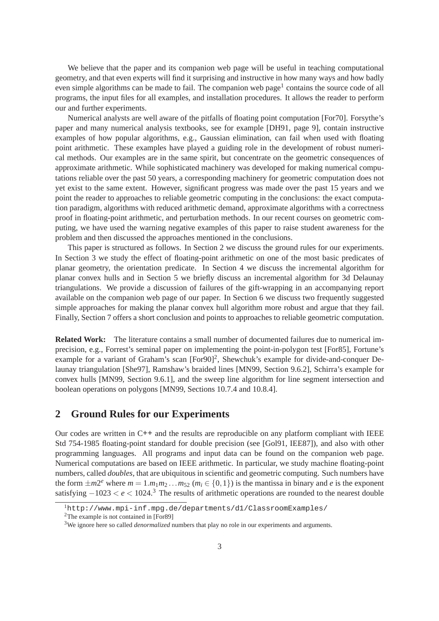We believe that the paper and its companion web page will be useful in teaching computational geometry, and that even experts will find it surprising and instructive in how many ways and how badly even simple algorithms can be made to fail. The companion web page<sup>1</sup> contains the source code of all programs, the input files for all examples, and installation procedures. It allows the reader to perform our and further experiments.

Numerical analysts are well aware of the pitfalls of floating point computation [For70]. Forsythe's paper and many numerical analysis textbooks, see for example [DH91, page 9], contain instructive examples of how popular algorithms, e.g., Gaussian elimination, can fail when used with floating point arithmetic. These examples have played a guiding role in the development of robust numerical methods. Our examples are in the same spirit, but concentrate on the geometric consequences of approximate arithmetic. While sophisticated machinery was developed for making numerical computations reliable over the past 50 years, a corresponding machinery for geometric computation does not yet exist to the same extent. However, significant progress was made over the past 15 years and we point the reader to approaches to reliable geometric computing in the conclusions: the exact computation paradigm, algorithms with reduced arithmetic demand, approximate algorithms with a correctness proof in floating-point arithmetic, and perturbation methods. In our recent courses on geometric computing, we have used the warning negative examples of this paper to raise student awareness for the problem and then discussed the approaches mentioned in the conclusions.

This paper is structured as follows. In Section 2 we discuss the ground rules for our experiments. In Section 3 we study the effect of floating-point arithmetic on one of the most basic predicates of planar geometry, the orientation predicate. In Section 4 we discuss the incremental algorithm for planar convex hulls and in Section 5 we briefly discuss an incremental algorithm for 3d Delaunay triangulations. We provide a discussion of failures of the gift-wrapping in an accompanying report available on the companion web page of our paper. In Section 6 we discuss two frequently suggested simple approaches for making the planar convex hull algorithm more robust and argue that they fail. Finally, Section 7 offers a short conclusion and points to approaches to reliable geometric computation.

**Related Work:** The literature contains a small number of documented failures due to numerical imprecision, e.g., Forrest's seminal paper on implementing the point-in-polygon test [For85], Fortune's example for a variant of Graham's scan [For90]<sup>2</sup>, Shewchuk's example for divide-and-conquer Delaunay triangulation [She97], Ramshaw's braided lines [MN99, Section 9.6.2], Schirra's example for convex hulls [MN99, Section 9.6.1], and the sweep line algorithm for line segment intersection and boolean operations on polygons [MN99, Sections 10.7.4 and 10.8.4].

# **2 Ground Rules for our Experiments**

Our codes are written in  $C_{++}$  and the results are reproducible on any platform compliant with IEEE Std 754-1985 floating-point standard for double precision (see [Gol91, IEE87]), and also with other programming languages. All programs and input data can be found on the companion web page. Numerical computations are based on IEEE arithmetic. In particular, we study machine floating-point numbers, called *doubles*, that are ubiquitous in scientific and geometric computing. Such numbers have the form  $\pm m2^e$  where  $m = 1 \cdot m_1 m_2 \cdot \cdot \cdot m_{52}$   $(m_i \in \{0, 1\})$  is the mantissa in binary and *e* is the exponent satisfying −1023 < *e* < 1024.<sup>3</sup> The results of arithmetic operations are rounded to the nearest double

<sup>1</sup>http://www.mpi-inf.mpg.de/departments/d1/ClassroomExamples/

<sup>2</sup>The example is not contained in [For89]

<sup>3</sup>We ignore here so called *denormalized* numbers that play no role in our experiments and arguments.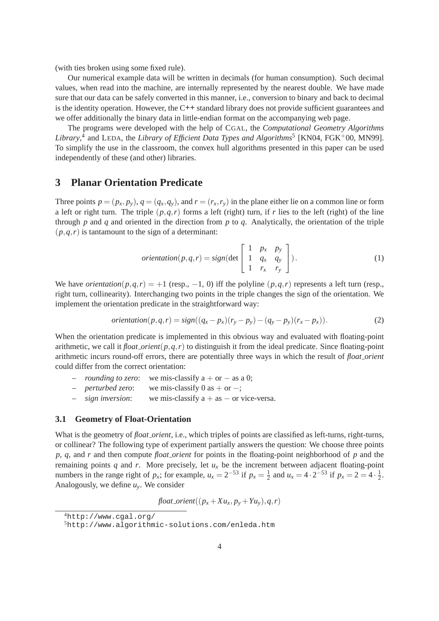(with ties broken using some fixed rule).

Our numerical example data will be written in decimals (for human consumption). Such decimal values, when read into the machine, are internally represented by the nearest double. We have made sure that our data can be safely converted in this manner, i.e., conversion to binary and back to decimal is the identity operation. However, the C++ standard library does not provide sufficient guarantees and we offer additionally the binary data in little-endian format on the accompanying web page.

The programs were developed with the help of CGAL, the *Computational Geometry Algorithms* Library,<sup>4</sup> and LEDA, the *Library of Efficient Data Types and Algorithms*<sup>5</sup> [KN04, FGK+00, MN99]. To simplify the use in the classroom, the convex hull algorithms presented in this paper can be used independently of these (and other) libraries.

# **3 Planar Orientation Predicate**

Three points  $p = (p_x, p_y), q = (q_x, q_y)$ , and  $r = (r_x, r_y)$  in the plane either lie on a common line or form a left or right turn. The triple  $(p,q,r)$  forms a left (right) turn, if *r* lies to the left (right) of the line through *p* and *q* and oriented in the direction from *p* to *q*. Analytically, the orientation of the triple  $(p,q,r)$  is tantamount to the sign of a determinant:

*orientation*(
$$
p, q, r
$$
) =  $sign$ ( $det$ 
$$
\begin{bmatrix} 1 & p_x & p_y \\ 1 & q_x & q_y \\ 1 & r_x & r_y \end{bmatrix}
$$
). (1)

We have *orientation*( $p, q, r$ ) = +1 (resp., -1, 0) iff the polyline ( $p, q, r$ ) represents a left turn (resp., right turn, collinearity). Interchanging two points in the triple changes the sign of the orientation. We implement the orientation predicate in the straightforward way:

*orientation*(
$$
p, q, r
$$
) =  $sign((q_x - p_x)(r_y - p_y) - (q_y - p_y)(r_x - p_x))$ . (2)

When the orientation predicate is implemented in this obvious way and evaluated with floating-point arithmetic, we call it *float\_orient* $(p,q,r)$  to distinguish it from the ideal predicate. Since floating-point arithmetic incurs round-off errors, there are potentially three ways in which the result of *float orient* could differ from the correct orientation:

- *rounding to zero*: we mis-classify a + or − as a 0;
- *perturbed zero*: we mis-classify 0 as + or −;
- *sign inversion*: we mis-classify a + as − or vice-versa.

### **3.1 Geometry of Float-Orientation**

What is the geometry of *float\_orient*, i.e., which triples of points are classified as left-turns, right-turns, or collinear? The following type of experiment partially answers the question: We choose three points *p*, *q*, and *r* and then compute *float orient* for points in the floating-point neighborhood of *p* and the remaining points *q* and *r*. More precisely, let  $u_x$  be the increment between adjacent floating-point numbers in the range right of  $p_x$ ; for example,  $u_x = 2^{-53}$  if  $p_x = \frac{1}{2}$  $\frac{1}{2}$  and  $u_x = 4 \cdot 2^{-53}$  if  $p_x = 2 = 4 \cdot \frac{1}{2}$  $rac{1}{2}$ . Analogously, we define  $u<sub>y</sub>$ . We consider

$$
\text{float\_orient}((p_x + Xu_x, p_y + Yu_y), q, r)
$$

<sup>4</sup>http://www.cgal.org/

<sup>5</sup>http://www.algorithmic-solutions.com/enleda.htm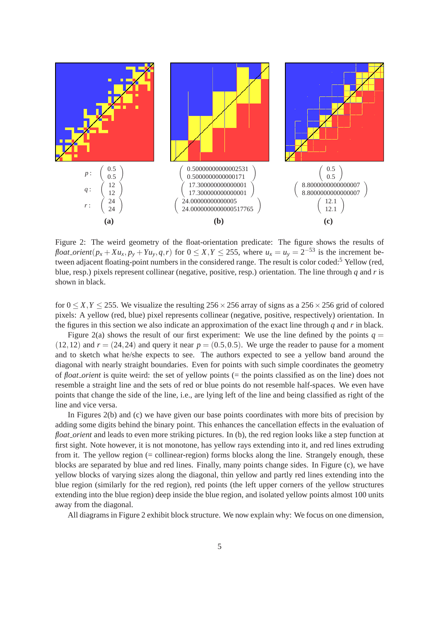

Figure 2: The weird geometry of the float-orientation predicate: The figure shows the results of *float\_orient*( $p_x + Xu_x, p_y + Yu_y, q, r$ ) for  $0 \le X, Y \le 255$ , where  $u_x = u_y = 2^{-53}$  is the increment between adjacent floating-point numbers in the considered range. The result is color coded:<sup>5</sup> Yellow (red, blue, resp.) pixels represent collinear (negative, positive, resp.) orientation. The line through *q* and *r* is shown in black.

for  $0 \le X, Y \le 255$ . We visualize the resulting  $256 \times 256$  array of signs as a  $256 \times 256$  grid of colored pixels: A yellow (red, blue) pixel represents collinear (negative, positive, respectively) orientation. In the figures in this section we also indicate an approximation of the exact line through *q* and *r* in black.

Figure 2(a) shows the result of our first experiment: We use the line defined by the points  $q =$  $(12,12)$  and  $r = (24,24)$  and query it near  $p = (0.5,0.5)$ . We urge the reader to pause for a moment and to sketch what he/she expects to see. The authors expected to see a yellow band around the diagonal with nearly straight boundaries. Even for points with such simple coordinates the geometry of *float orient* is quite weird: the set of yellow points (= the points classified as on the line) does not resemble a straight line and the sets of red or blue points do not resemble half-spaces. We even have points that change the side of the line, i.e., are lying left of the line and being classified as right of the line and vice versa.

In Figures 2(b) and (c) we have given our base points coordinates with more bits of precision by adding some digits behind the binary point. This enhances the cancellation effects in the evaluation of *float\_orient* and leads to even more striking pictures. In (b), the red region looks like a step function at first sight. Note however, it is not monotone, has yellow rays extending into it, and red lines extruding from it. The yellow region (= collinear-region) forms blocks along the line. Strangely enough, these blocks are separated by blue and red lines. Finally, many points change sides. In Figure (c), we have yellow blocks of varying sizes along the diagonal, thin yellow and partly red lines extending into the blue region (similarly for the red region), red points (the left upper corners of the yellow structures extending into the blue region) deep inside the blue region, and isolated yellow points almost 100 units away from the diagonal.

All diagrams in Figure 2 exhibit block structure. We now explain why: We focus on one dimension,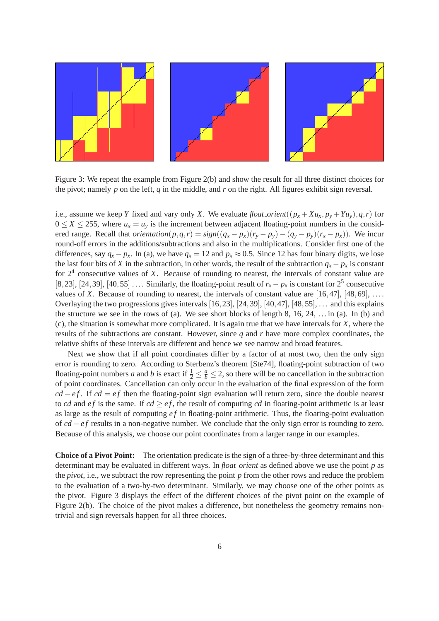

Figure 3: We repeat the example from Figure 2(b) and show the result for all three distinct choices for the pivot; namely *p* on the left, *q* in the middle, and *r* on the right. All figures exhibit sign reversal.

i.e., assume we keep *Y* fixed and vary only *X*. We evaluate *float\_orient*( $(p_x + Xu_x, p_y + Yu_y), q, r$ ) for  $0 \le X \le 255$ , where  $u_x = u_y$  is the increment between adjacent floating-point numbers in the considered range. Recall that *orientation*( $p, q, r$ ) =  $sign((q_x - p_x)(r_y - p_y) - (q_y - p_y)(r_x - p_x))$ . We incur round-off errors in the additions/subtractions and also in the multiplications. Consider first one of the differences, say  $q_x - p_x$ . In (a), we have  $q_x = 12$  and  $p_x \approx 0.5$ . Since 12 has four binary digits, we lose the last four bits of *X* in the subtraction, in other words, the result of the subtraction  $q_x - p_x$  is constant for  $2<sup>4</sup>$  consecutive values of *X*. Because of rounding to nearest, the intervals of constant value are [8,23], [24,39], [40,55] .... Similarly, the floating-point result of  $r_x - p_x$  is constant for 2<sup>5</sup> consecutive values of *X*. Because of rounding to nearest, the intervals of constant value are  $[16, 47]$ ,  $[48, 69]$ , ... Overlaying the two progressions gives intervals  $[16,23]$ ,  $[24,39]$ ,  $[40,47]$ ,  $[48,55]$ , ... and this explains the structure we see in the rows of (a). We see short blocks of length 8, 16, 24,  $\dots$  in (a). In (b) and (c), the situation is somewhat more complicated. It is again true that we have intervals for *X*, where the results of the subtractions are constant. However, since *q* and *r* have more complex coordinates, the relative shifts of these intervals are different and hence we see narrow and broad features.

Next we show that if all point coordinates differ by a factor of at most two, then the only sign error is rounding to zero. According to Sterbenz's theorem [Ste74], floating-point subtraction of two floating-point numbers *a* and *b* is exact if  $\frac{1}{2} \leq \frac{a}{b} \leq 2$ , so there will be no cancellation in the subtraction of point coordinates. Cancellation can only occur in the evaluation of the final expression of the form  $cd - ef$ . If  $cd = ef$  then the floating-point sign evaluation will return zero, since the double nearest to *cd* and  $ef$  is the same. If  $cd \ge ef$ , the result of computing *cd* in floating-point arithmetic is at least as large as the result of computing *e f* in floating-point arithmetic. Thus, the floating-point evaluation of *cd* −*e f* results in a non-negative number. We conclude that the only sign error is rounding to zero. Because of this analysis, we choose our point coordinates from a larger range in our examples.

**Choice of a Pivot Point:** The orientation predicate is the sign of a three-by-three determinant and this determinant may be evaluated in different ways. In *float orient* as defined above we use the point *p* as the *pivot*, i.e., we subtract the row representing the point *p* from the other rows and reduce the problem to the evaluation of a two-by-two determinant. Similarly, we may choose one of the other points as the pivot. Figure 3 displays the effect of the different choices of the pivot point on the example of Figure 2(b). The choice of the pivot makes a difference, but nonetheless the geometry remains nontrivial and sign reversals happen for all three choices.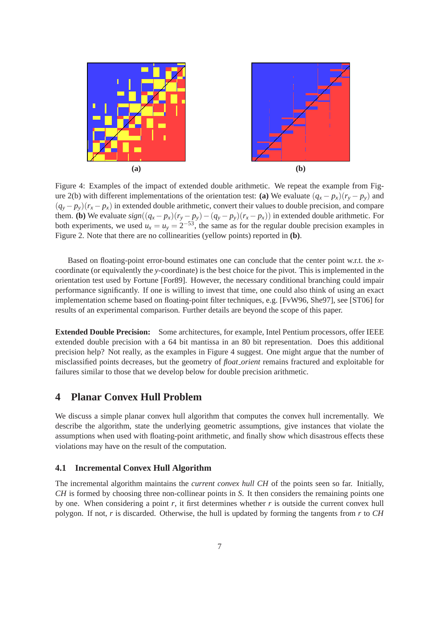

Figure 4: Examples of the impact of extended double arithmetic. We repeat the example from Figure 2(b) with different implementations of the orientation test: **(a)** We evaluate  $(q_x - p_x)(r_y - p_y)$  and  $(q_y - p_y)(r_x - p_x)$  in extended double arithmetic, convert their values to double precision, and compare them. (b) We evaluate  $sign((q_x - p_x)(r_y - p_y) - (q_y - p_y)(r_x - p_x))$  in extended double arithmetic. For both experiments, we used  $u_x = u_y = 2^{-53}$ , the same as for the regular double precision examples in Figure 2. Note that there are no collinearities (yellow points) reported in **(b)**.

Based on floating-point error-bound estimates one can conclude that the center point w.r.t. the *x*coordinate (or equivalently the *y*-coordinate) is the best choice for the pivot. This is implemented in the orientation test used by Fortune [For89]. However, the necessary conditional branching could impair performance significantly. If one is willing to invest that time, one could also think of using an exact implementation scheme based on floating-point filter techniques, e.g. [FvW96, She97], see [ST06] for results of an experimental comparison. Further details are beyond the scope of this paper.

**Extended Double Precision:** Some architectures, for example, Intel Pentium processors, offer IEEE extended double precision with a 64 bit mantissa in an 80 bit representation. Does this additional precision help? Not really, as the examples in Figure 4 suggest. One might argue that the number of misclassified points decreases, but the geometry of *float orient* remains fractured and exploitable for failures similar to those that we develop below for double precision arithmetic.

# **4 Planar Convex Hull Problem**

We discuss a simple planar convex hull algorithm that computes the convex hull incrementally. We describe the algorithm, state the underlying geometric assumptions, give instances that violate the assumptions when used with floating-point arithmetic, and finally show which disastrous effects these violations may have on the result of the computation.

### **4.1 Incremental Convex Hull Algorithm**

The incremental algorithm maintains the *current convex hull CH* of the points seen so far. Initially, *CH* is formed by choosing three non-collinear points in *S*. It then considers the remaining points one by one. When considering a point  $r$ , it first determines whether  $r$  is outside the current convex hull polygon. If not, *r* is discarded. Otherwise, the hull is updated by forming the tangents from *r* to *CH*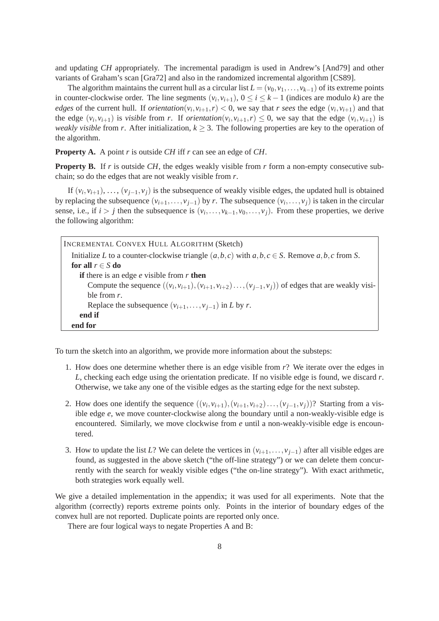and updating *CH* appropriately. The incremental paradigm is used in Andrew's [And79] and other variants of Graham's scan [Gra72] and also in the randomized incremental algorithm [CS89].

The algorithm maintains the current hull as a circular list  $L = (v_0, v_1, \ldots, v_{k-1})$  of its extreme points in counter-clockwise order. The line segments  $(v_i, v_{i+1}), 0 \le i \le k-1$  (indices are modulo *k*) are the *edges* of the current hull. If *orientation*( $v_i$ ,  $v_{i+1}$ ,  $r$ ) < 0, we say that *r sees* the edge ( $v_i$ ,  $v_{i+1}$ ) and that the edge  $(v_i, v_{i+1})$  is *visible* from *r*. If *orientation* $(v_i, v_{i+1}, r) \leq 0$ , we say that the edge  $(v_i, v_{i+1})$  is *weakly visible* from *r*. After initialization,  $k \geq 3$ . The following properties are key to the operation of the algorithm.

**Property A.** A point *r* is outside *CH* iff *r* can see an edge of *CH*.

**Property B.** If *r* is outside *CH*, the edges weakly visible from *r* form a non-empty consecutive subchain; so do the edges that are not weakly visible from *r*.

If  $(v_i, v_{i+1}), \ldots, (v_{j-1}, v_j)$  is the subsequence of weakly visible edges, the updated hull is obtained by replacing the subsequence  $(v_{i+1},...,v_{j-1})$  by *r*. The subsequence  $(v_i,...,v_j)$  is taken in the circular sense, i.e., if  $i > j$  then the subsequence is  $(v_i, \ldots, v_{k-1}, v_0, \ldots, v_j)$ . From these properties, we derive the following algorithm:

INCREMENTAL CONVEX HULL ALGORITHM (Sketch) Initialize *L* to a counter-clockwise triangle  $(a, b, c)$  with  $a, b, c \in S$ . Remove  $a, b, c$  from *S*. **for all**  $r \in S$  **do if** there is an edge *e* visible from *r* **then** Compute the sequence  $((v_i, v_{i+1}), (v_{i+1}, v_{i+2}), \ldots, (v_{j-1}, v_j))$  of edges that are weakly visible from *r*. Replace the subsequence  $(v_{i+1}, \ldots, v_{i-1})$  in *L* by *r*. **end if end for**

To turn the sketch into an algorithm, we provide more information about the substeps:

- 1. How does one determine whether there is an edge visible from *r*? We iterate over the edges in *L*, checking each edge using the orientation predicate. If no visible edge is found, we discard *r*. Otherwise, we take any one of the visible edges as the starting edge for the next substep.
- 2. How does one identify the sequence  $((v_i, v_{i+1}), (v_{i+1}, v_{i+2}) \dots, (v_{j-1}, v_j))$ ? Starting from a visible edge *e*, we move counter-clockwise along the boundary until a non-weakly-visible edge is encountered. Similarly, we move clockwise from *e* until a non-weakly-visible edge is encountered.
- 3. How to update the list *L*? We can delete the vertices in  $(v_{i+1},...,v_{i-1})$  after all visible edges are found, as suggested in the above sketch ("the off-line strategy") or we can delete them concurrently with the search for weakly visible edges ("the on-line strategy"). With exact arithmetic, both strategies work equally well.

We give a detailed implementation in the appendix; it was used for all experiments. Note that the algorithm (correctly) reports extreme points only. Points in the interior of boundary edges of the convex hull are not reported. Duplicate points are reported only once.

There are four logical ways to negate Properties A and B: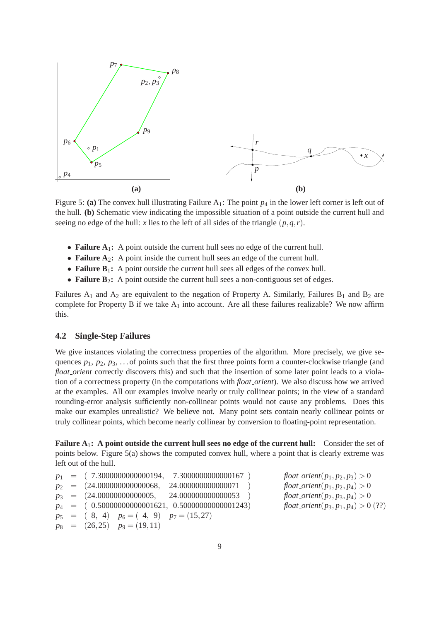

Figure 5: **(a)** The convex hull illustrating Failure  $A_1$ : The point  $p_4$  in the lower left corner is left out of the hull. **(b)** Schematic view indicating the impossible situation of a point outside the current hull and seeing no edge of the hull: *x* lies to the left of all sides of the triangle  $(p,q,r)$ .

- **Failure A<sub>1</sub>:** A point outside the current hull sees no edge of the current hull.
- **Failure A<sub>2</sub>:** A point inside the current hull sees an edge of the current hull.
- **Failure B**<sub>1</sub>: A point outside the current hull sees all edges of the convex hull.
- **Failure B<sub>2</sub>:** A point outside the current hull sees a non-contiguous set of edges.

Failures  $A_1$  and  $A_2$  are equivalent to the negation of Property A. Similarly, Failures  $B_1$  and  $B_2$  are complete for Property B if we take  $A_1$  into account. Are all these failures realizable? We now affirm this.

### **4.2 Single-Step Failures**

We give instances violating the correctness properties of the algorithm. More precisely, we give sequences  $p_1, p_2, p_3, \ldots$  of points such that the first three points form a counter-clockwise triangle (and *float\_orient* correctly discovers this) and such that the insertion of some later point leads to a violation of a correctness property (in the computations with *float orient*). We also discuss how we arrived at the examples. All our examples involve nearly or truly collinear points; in the view of a standard rounding-error analysis sufficiently non-collinear points would not cause any problems. Does this make our examples unrealistic? We believe not. Many point sets contain nearly collinear points or truly collinear points, which become nearly collinear by conversion to floating-point representation.

**Failure A**1**: A point outside the current hull sees no edge of the current hull:** Consider the set of points below. Figure 5(a) shows the computed convex hull, where a point that is clearly extreme was left out of the hull.

*p*<sub>1</sub> = ( 7.3000000000000194, 7.3000000000000167 *p*<sup>2</sup> = (24.000000000000068, 24.000000000000071 )  $p_3$  = (24.000000000000055, 24.000000000000053  $p_4$  = ( 0.50000000000001621, 0.500000000000001243)  $p_5 = (8, 4)$   $p_6 = (4, 9)$   $p_7 = (15, 27)$  $p_8 = (26,25)$   $p_9 = (19,11)$ 

*float\_orient* $(p_1, p_2, p_3) > 0$ *float \_orient*( $p_1, p_2, p_4$ ) > 0 *float\_orient* $(p_2, p_3, p_4) > 0$ *float\_orient* $(p_3, p_1, p_4) > 0$  (??)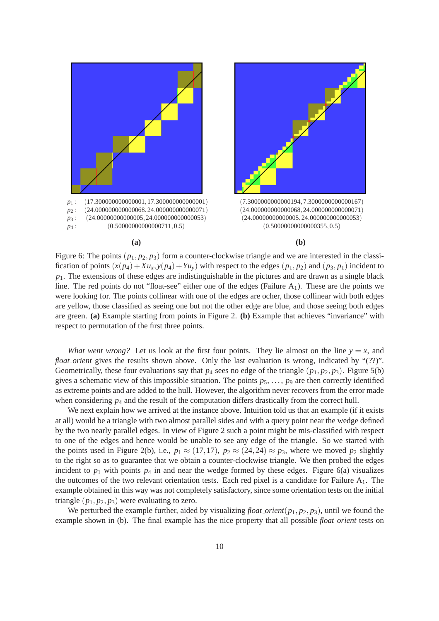



(7.3000000000000194,7.3000000000000167) (24.000000000000068,24.000000000000071) (24.00000000000005,24.000000000000053) (0.50000000000000355,0.5)

Figure 6: The points  $(p_1, p_2, p_3)$  form a counter-clockwise triangle and we are interested in the classification of points  $(x(p_4) + Xu_x, y(p_4) + Yu_y)$  with respect to the edges  $(p_1, p_2)$  and  $(p_3, p_1)$  incident to *p*1. The extensions of these edges are indistinguishable in the pictures and are drawn as a single black line. The red points do not "float-see" either one of the edges (Failure  $A_1$ ). These are the points we were looking for. The points collinear with one of the edges are ocher, those collinear with both edges are yellow, those classified as seeing one but not the other edge are blue, and those seeing both edges are green. **(a)** Example starting from points in Figure 2. **(b)** Example that achieves "invariance" with respect to permutation of the first three points.

*What went wrong?* Let us look at the first four points. They lie almost on the line  $y = x$ , and *float\_orient* gives the results shown above. Only the last evaluation is wrong, indicated by "(??)". Geometrically, these four evaluations say that  $p_4$  sees no edge of the triangle  $(p_1, p_2, p_3)$ . Figure 5(b) gives a schematic view of this impossible situation. The points  $p_5, \ldots, p_9$  are then correctly identified as extreme points and are added to the hull. However, the algorithm never recovers from the error made when considering  $p_4$  and the result of the computation differs drastically from the correct hull.

We next explain how we arrived at the instance above. Intuition told us that an example (if it exists at all) would be a triangle with two almost parallel sides and with a query point near the wedge defined by the two nearly parallel edges. In view of Figure 2 such a point might be mis-classified with respect to one of the edges and hence would be unable to see any edge of the triangle. So we started with the points used in Figure 2(b), i.e.,  $p_1 \approx (17, 17)$ ,  $p_2 \approx (24, 24) \approx p_3$ , where we moved  $p_2$  slightly to the right so as to guarantee that we obtain a counter-clockwise triangle. We then probed the edges incident to  $p_1$  with points  $p_4$  in and near the wedge formed by these edges. Figure 6(a) visualizes the outcomes of the two relevant orientation tests. Each red pixel is a candidate for Failure  $A_1$ . The example obtained in this way was not completely satisfactory, since some orientation tests on the initial triangle  $(p_1, p_2, p_3)$  were evaluating to zero.

We perturbed the example further, aided by visualizing *float\_orient*( $p_1, p_2, p_3$ ), until we found the example shown in (b). The final example has the nice property that all possible *float orient* tests on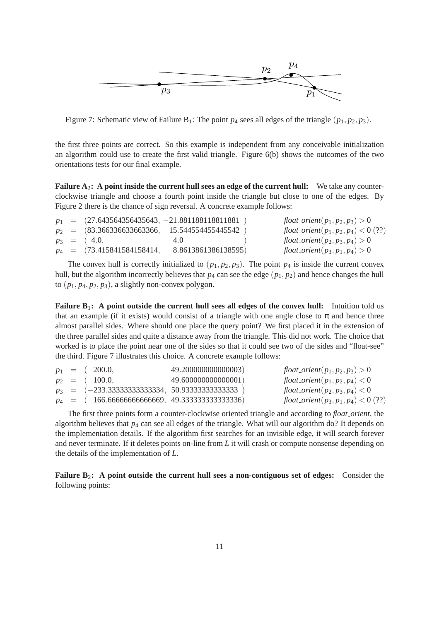

Figure 7: Schematic view of Failure  $B_1$ : The point  $p_4$  sees all edges of the triangle  $(p_1, p_2, p_3)$ .

the first three points are correct. So this example is independent from any conceivable initialization an algorithm could use to create the first valid triangle. Figure 6(b) shows the outcomes of the two orientations tests for our final example.

**Failure A**2**: A point inside the current hull sees an edge of the current hull:** We take any counterclockwise triangle and choose a fourth point inside the triangle but close to one of the edges. By Figure 2 there is the chance of sign reversal. A concrete example follows:

|  | $p_1$ = (27.643564356435643, -21.881188118811881) |                     | $float\_orient(p_1, p_2, p_3) > 0$      |
|--|---------------------------------------------------|---------------------|-----------------------------------------|
|  | $p_2 = (83.366336633663366, 15.544554455445542)$  |                     | $float\_orient(p_1, p_2, p_4) < 0$ (??) |
|  | $p_3 = (4.0,$                                     | 4.0                 | $float\_orient(p_2, p_3, p_4) > 0$      |
|  | $p_4 = (73.415841584158414,$                      | 8.8613861386138595) | $float\_orient(p_3, p_1, p_4) > 0$      |

The convex hull is correctly initialized to  $(p_1, p_2, p_3)$ . The point  $p_4$  is inside the current convex hull, but the algorithm incorrectly believes that  $p_4$  can see the edge  $(p_1, p_2)$  and hence changes the hull to  $(p_1, p_4, p_2, p_3)$ , a slightly non-convex polygon.

**Failure B<sub>1</sub>: A point outside the current hull sees all edges of the convex hull:** Intuition told us that an example (if it exists) would consist of a triangle with one angle close to  $\pi$  and hence three almost parallel sides. Where should one place the query point? We first placed it in the extension of the three parallel sides and quite a distance away from the triangle. This did not work. The choice that worked is to place the point near one of the sides so that it could see two of the sides and "float-see" the third. Figure 7 illustrates this choice. A concrete example follows:

|  | $p_1 = (200.0,$                                  | 49.200000000000003  | float_orient $(p_1, p_2, p_3) > 0$      |
|--|--------------------------------------------------|---------------------|-----------------------------------------|
|  | $p_2 = (100.0,$                                  | 49.600000000000001) | $float\_orient(p_1, p_2, p_4) < 0$      |
|  | $p_3 = (-233.3333333333334, 50.933333333333333)$ |                     | $float\_orient(p_2, p_3, p_4) < 0$      |
|  | $p_4 = (166.6666666666669, 49.33333333333336)$   |                     | $float\_orient(p_3, p_1, p_4) < 0$ (??) |

The first three points form a counter-clockwise oriented triangle and according to *float orient*, the algorithm believes that  $p_4$  can see all edges of the triangle. What will our algorithm do? It depends on the implementation details. If the algorithm first searches for an invisible edge, it will search forever and never terminate. If it deletes points on-line from *L* it will crash or compute nonsense depending on the details of the implementation of *L*.

**Failure B**2**: A point outside the current hull sees a non-contiguous set of edges:** Consider the following points: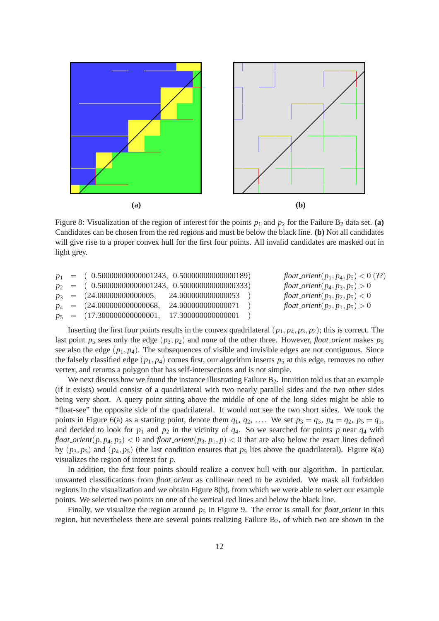

Figure 8: Visualization of the region of interest for the points  $p_1$  and  $p_2$  for the Failure B<sub>2</sub> data set. **(a)** Candidates can be chosen from the red regions and must be below the black line. **(b)** Not all candidates will give rise to a proper convex hull for the first four points. All invalid candidates are masked out in light grey.

|  |                                                 | $p_1$ = (0.50000000000001243,0.50000000000000189)  | float_ $\mathcal{L}$ |
|--|-------------------------------------------------|----------------------------------------------------|----------------------|
|  |                                                 | $p_2$ = (0.50000000000001243, 0.50000000000000333) | $float_c$            |
|  |                                                 | $p_3 = (24.00000000000005, 24.00000000000053)$     | $float_c$            |
|  |                                                 | $p_4 = (24.00000000000068, 24.00000000000071)$     | $float_c$            |
|  | $p_5$ = (17.300000000000001, 17.300000000000001 |                                                    |                      |

*filterit*( $p_1, p_4, p_5$ ) < 0 (??)  $$ *filomit*(*p*<sub>3</sub>, *p*<sub>2</sub>, *p*<sub>5</sub>) < 0 *filomit*(*p*<sub>2</sub>, *p*<sub>1</sub>, *p*<sub>5</sub>) > 0

Inserting the first four points results in the convex quadrilateral  $(p_1, p_4, p_3, p_2)$ ; this is correct. The last point  $p_5$  sees only the edge  $(p_3, p_2)$  and none of the other three. However, *float\_orient* makes  $p_5$ see also the edge  $(p_1, p_4)$ . The subsequences of visible and invisible edges are not contiguous. Since the falsely classified edge  $(p_1, p_4)$  comes first, our algorithm inserts  $p_5$  at this edge, removes no other vertex, and returns a polygon that has self-intersections and is not simple.

We next discuss how we found the instance illustrating Failure  $B_2$ . Intuition told us that an example (if it exists) would consist of a quadrilateral with two nearly parallel sides and the two other sides being very short. A query point sitting above the middle of one of the long sides might be able to "float-see" the opposite side of the quadrilateral. It would not see the two short sides. We took the points in Figure 6(a) as a starting point, denote them  $q_1, q_2, \ldots$ . We set  $p_3 = q_3, p_4 = q_2, p_5 = q_1$ , and decided to look for  $p_1$  and  $p_2$  in the vicinity of  $q_4$ . So we searched for points  $p$  near  $q_4$  with *float\_orient*( $p, p_4, p_5$ ) < 0 and *float\_orient*( $p_3, p_1, p$ ) < 0 that are also below the exact lines defined by  $(p_3, p_5)$  and  $(p_4, p_5)$  (the last condition ensures that  $p_5$  lies above the quadrilateral). Figure 8(a) visualizes the region of interest for *p*.

In addition, the first four points should realize a convex hull with our algorithm. In particular, unwanted classifications from *float orient* as collinear need to be avoided. We mask all forbidden regions in the visualization and we obtain Figure 8(b), from which we were able to select our example points. We selected two points on one of the vertical red lines and below the black line.

Finally, we visualize the region around  $p_5$  in Figure 9. The error is small for *float\_orient* in this region, but nevertheless there are several points realizing Failure B<sub>2</sub>, of which two are shown in the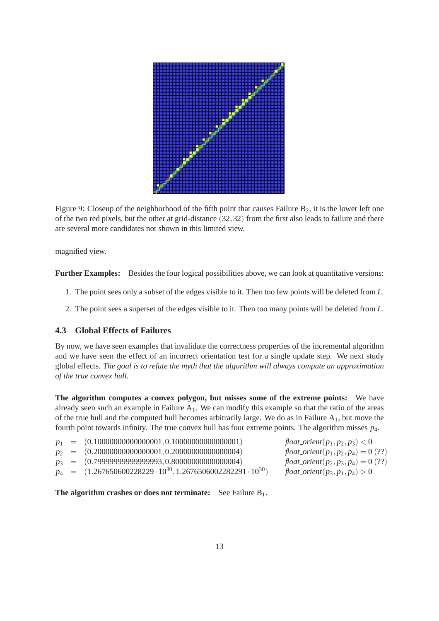

Figure 9: Closeup of the neighborhood of the fifth point that causes Failure  $B_2$ , it is the lower left one of the two red pixels, but the other at grid-distance (32,32) from the first also leads to failure and there are several more candidates not shown in this limited view.

magnified view.

**Further Examples:** Besides the four logical possibilities above, we can look at quantitative versions:

- 1. The point sees only a subset of the edges visible to it. Then too few points will be deleted from *L*.
- 2. The point sees a superset of the edges visible to it. Then too many points will be deleted from *L*.

### **4.3 Global Effects of Failures**

By now, we have seen examples that invalidate the correctness properties of the incremental algorithm and we have seen the effect of an incorrect orientation test for a single update step. We next study global effects. *The goal is to refute the myth that the algorithm will always compute an approximation of the true convex hull.*

**The algorithm computes a convex polygon, but misses some of the extreme points:** We have already seen such an example in Failure A1. We can modify this example so that the ratio of the areas of the true hull and the computed hull becomes arbitrarily large. We do as in Failure  $A_1$ , but move the fourth point towards infinity. The true convex hull has four extreme points. The algorithm misses *p*4.

- *p*<sup>1</sup> = (0.10000000000000001,0.10000000000000001)
- *p*<sup>2</sup> = (0.20000000000000001,0.20000000000000004)
- *p*<sup>3</sup> = (0.79999999999999993,0.80000000000000004)
- *float\_orient* $(p_1, p_2, p_3) < 0$ *float\_orient* $(p_1, p_2, p_4) = 0$  (??) *float\_orient* $(p_2, p_3, p_4) = 0$  (??) *float\_orient* $(p_3, p_1, p_4) > 0$
- $p_4$  =  $(1.267650600228229 \cdot 10^{30}, 1.2676506002282291 \cdot 10^{30})$

**The algorithm crashes or does not terminate:** See Failure B<sub>1</sub>.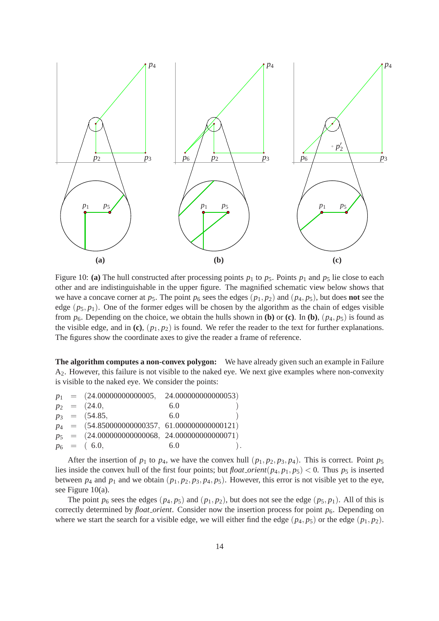

Figure 10: (a) The hull constructed after processing points  $p_1$  to  $p_5$ . Points  $p_1$  and  $p_5$  lie close to each other and are indistinguishable in the upper figure. The magnified schematic view below shows that we have a concave corner at  $p_5$ . The point  $p_6$  sees the edges  $(p_1, p_2)$  and  $(p_4, p_5)$ , but does **not** see the edge  $(p_5, p_1)$ . One of the former edges will be chosen by the algorithm as the chain of edges visible from  $p_6$ . Depending on the choice, we obtain the hulls shown in **(b)** or **(c)**. In **(b)**,  $(p_4, p_5)$  is found as the visible edge, and in  $(c)$ ,  $(p_1, p_2)$  is found. We refer the reader to the text for further explanations. The figures show the coordinate axes to give the reader a frame of reference.

**The algorithm computes a non-convex polygon:** We have already given such an example in Failure A2. However, this failure is not visible to the naked eye. We next give examples where non-convexity is visible to the naked eye. We consider the points:

|  | $p_1$ = (24.000000000000055, 24.000000000000053) |     |  |
|--|--------------------------------------------------|-----|--|
|  | $p_2 = (24.0,$                                   | 6.0 |  |
|  | $p_3 = (54.85,$                                  | 6.0 |  |
|  | $p_4 = (54.850000000000357, 61.000000000000121)$ |     |  |
|  | $p_5$ = (24.000000000000068, 24.000000000000071) |     |  |
|  | $p_6 = (6.0,$                                    | 6.0 |  |

After the insertion of  $p_1$  to  $p_4$ , we have the convex hull  $(p_1, p_2, p_3, p_4)$ . This is correct. Point  $p_5$ lies inside the convex hull of the first four points; but *float\_orient*( $p_4$ ,  $p_1$ ,  $p_5$ ) < 0. Thus  $p_5$  is inserted between  $p_4$  and  $p_1$  and we obtain  $(p_1, p_2, p_3, p_4, p_5)$ . However, this error is not visible yet to the eye, see Figure 10(a).

The point  $p_6$  sees the edges  $(p_4, p_5)$  and  $(p_1, p_2)$ , but does not see the edge  $(p_5, p_1)$ . All of this is correctly determined by *float\_orient*. Consider now the insertion process for point  $p_6$ . Depending on where we start the search for a visible edge, we will either find the edge  $(p_4, p_5)$  or the edge  $(p_1, p_2)$ .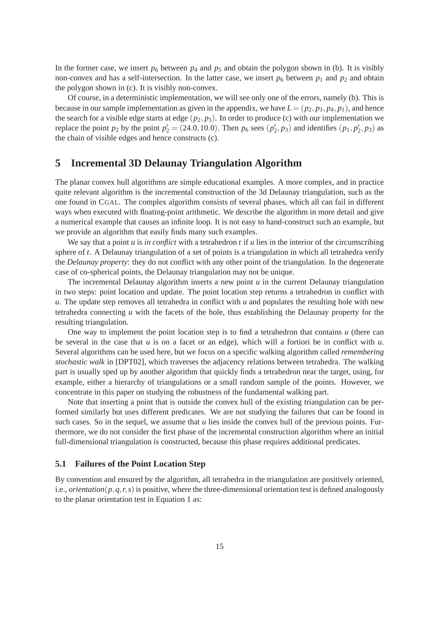In the former case, we insert  $p_6$  between  $p_4$  and  $p_5$  and obtain the polygon shown in (b). It is visibly non-convex and has a self-intersection. In the latter case, we insert  $p_6$  between  $p_1$  and  $p_2$  and obtain the polygon shown in (c). It is visibly non-convex.

Of course, in a deterministic implementation, we will see only one of the errors, namely (b). This is because in our sample implementation as given in the appendix, we have  $L = (p_2, p_3, p_4, p_1)$ , and hence the search for a visible edge starts at edge  $(p_2, p_3)$ . In order to produce (c) with our implementation we replace the point  $p_2$  by the point  $p'_2 = (24.0, 10.0)$ . Then  $p_6$  sees  $(p'_2, p_3)$  and identifies  $(p_1, p'_2, p_3)$  as the chain of visible edges and hence constructs (c).

# **5 Incremental 3D Delaunay Triangulation Algorithm**

The planar convex hull algorithms are simple educational examples. A more complex, and in practice quite relevant algorithm is the incremental construction of the 3d Delaunay triangulation, such as the one found in CGAL. The complex algorithm consists of several phases, which all can fail in different ways when executed with floating-point arithmetic. We describe the algorithm in more detail and give a numerical example that causes an infinite loop. It is not easy to hand-construct such an example, but we provide an algorithm that easily finds many such examples.

We say that a point *u* is *in conflict* with a tetrahedron *t* if *u* lies in the interior of the circumscribing sphere of *t*. A Delaunay triangulation of a set of points is a triangulation in which all tetrahedra verify the *Delaunay property*: they do not conflict with any other point of the triangulation. In the degenerate case of co-spherical points, the Delaunay triangulation may not be unique.

The incremental Delaunay algorithm inserts a new point  $u$  in the current Delaunay triangulation in two steps: point location and update. The point location step returns a tetrahedron in conflict with *u*. The update step removes all tetrahedra in conflict with *u* and populates the resulting hole with new tetrahedra connecting *u* with the facets of the hole, thus establishing the Delaunay property for the resulting triangulation.

One way to implement the point location step is to find a tetrahedron that contains *u* (there can be several in the case that *u* is on a facet or an edge), which will a fortiori be in conflict with *u*. Several algorithms can be used here, but we focus on a specific walking algorithm called *remembering stochastic walk* in [DPT02], which traverses the adjacency relations between tetrahedra. The walking part is usually sped up by another algorithm that quickly finds a tetrahedron near the target, using, for example, either a hierarchy of triangulations or a small random sample of the points. However, we concentrate in this paper on studying the robustness of the fundamental walking part.

Note that inserting a point that is outside the convex hull of the existing triangulation can be performed similarly but uses different predicates. We are not studying the failures that can be found in such cases. So in the sequel, we assume that  $u$  lies inside the convex hull of the previous points. Furthermore, we do not consider the first phase of the incremental construction algorithm where an initial full-dimensional triangulation is constructed, because this phase requires additional predicates.

### **5.1 Failures of the Point Location Step**

By convention and ensured by the algorithm, all tetrahedra in the triangulation are positively oriented, i.e., *orientation*( $p$ , $q$ , $r$ , $s$ ) is positive, where the three-dimensional orientation test is defined analogously to the planar orientation test in Equation 1 as: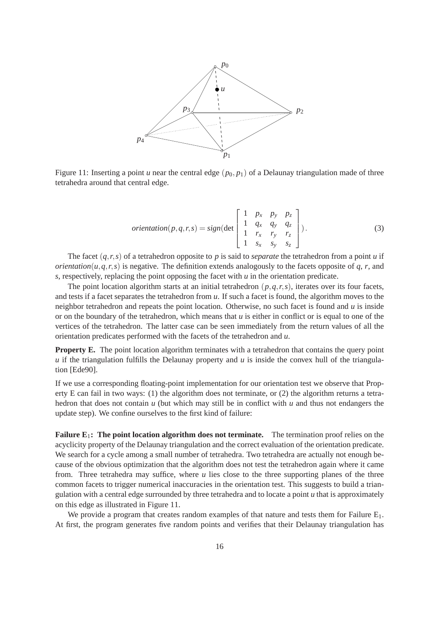

Figure 11: Inserting a point *u* near the central edge  $(p_0, p_1)$  of a Delaunay triangulation made of three tetrahedra around that central edge.

$$
orientation(p,q,r,s) = sign(det\begin{bmatrix} 1 & p_x & p_y & p_z \\ 1 & q_x & q_y & q_z \\ 1 & r_x & r_y & r_z \\ 1 & s_x & s_y & s_z \end{bmatrix}).
$$
 (3)

The facet (*q*,*r*,*s*) of a tetrahedron opposite to *p* is said to *separate* the tetrahedron from a point *u* if *orientation*( $u$ , $q$ , $r$ , $s$ ) is negative. The definition extends analogously to the facets opposite of  $q$ ,  $r$ , and *s*, respectively, replacing the point opposing the facet with *u* in the orientation predicate.

The point location algorithm starts at an initial tetrahedron  $(p, q, r, s)$ , iterates over its four facets, and tests if a facet separates the tetrahedron from *u*. If such a facet is found, the algorithm moves to the neighbor tetrahedron and repeats the point location. Otherwise, no such facet is found and *u* is inside or on the boundary of the tetrahedron, which means that *u* is either in conflict or is equal to one of the vertices of the tetrahedron. The latter case can be seen immediately from the return values of all the orientation predicates performed with the facets of the tetrahedron and *u*.

**Property E.** The point location algorithm terminates with a tetrahedron that contains the query point *u* if the triangulation fulfills the Delaunay property and  $\mu$  is inside the convex hull of the triangulation [Ede90].

If we use a corresponding floating-point implementation for our orientation test we observe that Property E can fail in two ways: (1) the algorithm does not terminate, or (2) the algorithm returns a tetrahedron that does not contain *u* (but which may still be in conflict with *u* and thus not endangers the update step). We confine ourselves to the first kind of failure:

**Failure E**1**: The point location algorithm does not terminate.** The termination proof relies on the acyclicity property of the Delaunay triangulation and the correct evaluation of the orientation predicate. We search for a cycle among a small number of tetrahedra. Two tetrahedra are actually not enough because of the obvious optimization that the algorithm does not test the tetrahedron again where it came from. Three tetrahedra may suffice, where *u* lies close to the three supporting planes of the three common facets to trigger numerical inaccuracies in the orientation test. This suggests to build a triangulation with a central edge surrounded by three tetrahedra and to locate a point *u* that is approximately on this edge as illustrated in Figure 11.

We provide a program that creates random examples of that nature and tests them for Failure  $E_1$ . At first, the program generates five random points and verifies that their Delaunay triangulation has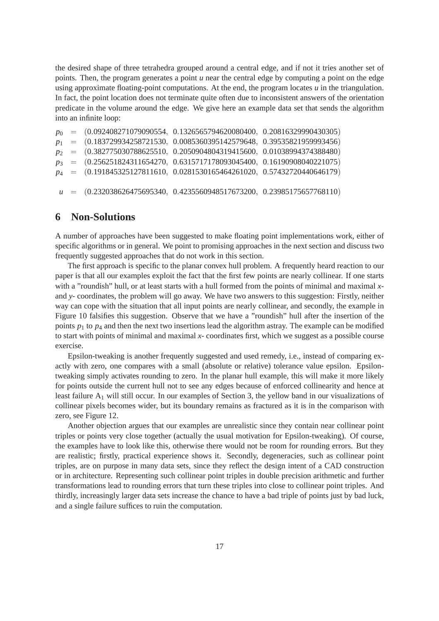the desired shape of three tetrahedra grouped around a central edge, and if not it tries another set of points. Then, the program generates a point *u* near the central edge by computing a point on the edge using approximate floating-point computations. At the end, the program locates  $\mu$  in the triangulation. In fact, the point location does not terminate quite often due to inconsistent answers of the orientation predicate in the volume around the edge. We give here an example data set that sends the algorithm into an infinite loop:

```
p0 = (0.092408271079090554, 0.1326565794620080400, 0.20816329990430305)
p1 = (0.183729934258721530, 0.0085360395142579648, 0.39535821959993456)
p2 = (0.382775030788625510, 0.2050904804319415600, 0.01038994374388480)
p3 = (0.256251824311654270, 0.6315717178093045400, 0.16190908040221075)
p4 = (0.191845325127811610, 0.0281530165464261020, 0.57432720440646179)
u = (0.232038626475695340, 0.4235560948517673200, 0.23985175657768110)
```
# **6 Non-Solutions**

A number of approaches have been suggested to make floating point implementations work, either of specific algorithms or in general. We point to promising approaches in the next section and discuss two frequently suggested approaches that do not work in this section.

The first approach is specific to the planar convex hull problem. A frequently heard reaction to our paper is that all our examples exploit the fact that the first few points are nearly collinear. If one starts with a "roundish" hull, or at least starts with a hull formed from the points of minimal and maximal *x*and *y*- coordinates, the problem will go away. We have two answers to this suggestion: Firstly, neither way can cope with the situation that all input points are nearly collinear, and secondly, the example in Figure 10 falsifies this suggestion. Observe that we have a "roundish" hull after the insertion of the points  $p_1$  to  $p_4$  and then the next two insertions lead the algorithm astray. The example can be modified to start with points of minimal and maximal *x*- coordinates first, which we suggest as a possible course exercise.

Epsilon-tweaking is another frequently suggested and used remedy, i.e., instead of comparing exactly with zero, one compares with a small (absolute or relative) tolerance value epsilon. Epsilontweaking simply activates rounding to zero. In the planar hull example, this will make it more likely for points outside the current hull not to see any edges because of enforced collinearity and hence at least failure  $A_1$  will still occur. In our examples of Section 3, the yellow band in our visualizations of collinear pixels becomes wider, but its boundary remains as fractured as it is in the comparison with zero, see Figure 12.

Another objection argues that our examples are unrealistic since they contain near collinear point triples or points very close together (actually the usual motivation for Epsilon-tweaking). Of course, the examples have to look like this, otherwise there would not be room for rounding errors. But they are realistic; firstly, practical experience shows it. Secondly, degeneracies, such as collinear point triples, are on purpose in many data sets, since they reflect the design intent of a CAD construction or in architecture. Representing such collinear point triples in double precision arithmetic and further transformations lead to rounding errors that turn these triples into close to collinear point triples. And thirdly, increasingly larger data sets increase the chance to have a bad triple of points just by bad luck, and a single failure suffices to ruin the computation.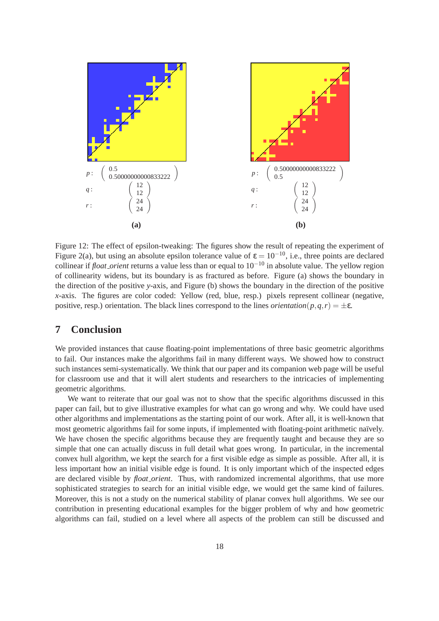

Figure 12: The effect of epsilon-tweaking: The figures show the result of repeating the experiment of Figure 2(a), but using an absolute epsilon tolerance value of  $\varepsilon = 10^{-10}$ , i.e., three points are declared collinear if *float orient* returns a value less than or equal to 10−<sup>10</sup> in absolute value. The yellow region of collinearity widens, but its boundary is as fractured as before. Figure (a) shows the boundary in the direction of the positive *y*-axis, and Figure (b) shows the boundary in the direction of the positive *x*-axis. The figures are color coded: Yellow (red, blue, resp.) pixels represent collinear (negative, positive, resp.) orientation. The black lines correspond to the lines *orientation*( $p, q, r$ ) =  $\pm \varepsilon$ .

# **7 Conclusion**

We provided instances that cause floating-point implementations of three basic geometric algorithms to fail. Our instances make the algorithms fail in many different ways. We showed how to construct such instances semi-systematically. We think that our paper and its companion web page will be useful for classroom use and that it will alert students and researchers to the intricacies of implementing geometric algorithms.

We want to reiterate that our goal was not to show that the specific algorithms discussed in this paper can fail, but to give illustrative examples for what can go wrong and why. We could have used other algorithms and implementations as the starting point of our work. After all, it is well-known that most geometric algorithms fail for some inputs, if implemented with floating-point arithmetic naïvely. We have chosen the specific algorithms because they are frequently taught and because they are so simple that one can actually discuss in full detail what goes wrong. In particular, in the incremental convex hull algorithm, we kept the search for a first visible edge as simple as possible. After all, it is less important how an initial visible edge is found. It is only important which of the inspected edges are declared visible by *float orient*. Thus, with randomized incremental algorithms, that use more sophisticated strategies to search for an initial visible edge, we would get the same kind of failures. Moreover, this is not a study on the numerical stability of planar convex hull algorithms. We see our contribution in presenting educational examples for the bigger problem of why and how geometric algorithms can fail, studied on a level where all aspects of the problem can still be discussed and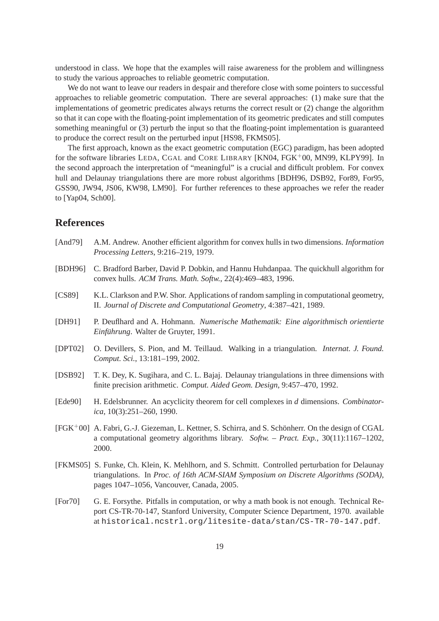understood in class. We hope that the examples will raise awareness for the problem and willingness to study the various approaches to reliable geometric computation.

We do not want to leave our readers in despair and therefore close with some pointers to successful approaches to reliable geometric computation. There are several approaches: (1) make sure that the implementations of geometric predicates always returns the correct result or (2) change the algorithm so that it can cope with the floating-point implementation of its geometric predicates and still computes something meaningful or (3) perturb the input so that the floating-point implementation is guaranteed to produce the correct result on the perturbed input [HS98, FKMS05].

The first approach, known as the exact geometric computation (EGC) paradigm, has been adopted for the software libraries LEDA, CGAL and CORE LIBRARY [KN04, FGK+00, MN99, KLPY99]. In the second approach the interpretation of "meaningful" is a crucial and difficult problem. For convex hull and Delaunay triangulations there are more robust algorithms [BDH96, DSB92, For89, For95, GSS90, JW94, JS06, KW98, LM90]. For further references to these approaches we refer the reader to [Yap04, Sch00].

# **References**

- [And79] A.M. Andrew. Another efficient algorithm for convex hulls in two dimensions. *Information Processing Letters*, 9:216–219, 1979.
- [BDH96] C. Bradford Barber, David P. Dobkin, and Hannu Huhdanpaa. The quickhull algorithm for convex hulls. *ACM Trans. Math. Softw.*, 22(4):469–483, 1996.
- [CS89] K.L. Clarkson and P.W. Shor. Applications of random sampling in computational geometry, II. *Journal of Discrete and Computational Geometry*, 4:387–421, 1989.
- [DH91] P. Deuflhard and A. Hohmann. *Numerische Mathematik: Eine algorithmisch orientierte Einführung*. Walter de Gruyter, 1991.
- [DPT02] O. Devillers, S. Pion, and M. Teillaud. Walking in a triangulation. *Internat. J. Found. Comput. Sci.*, 13:181–199, 2002.
- [DSB92] T. K. Dey, K. Sugihara, and C. L. Bajaj. Delaunay triangulations in three dimensions with finite precision arithmetic. *Comput. Aided Geom. Design*, 9:457–470, 1992.
- [Ede90] H. Edelsbrunner. An acyclicity theorem for cell complexes in *d* dimensions. *Combinatorica*, 10(3):251–260, 1990.
- $[FGK^+00]$  A. Fabri, G.-J. Giezeman, L. Kettner, S. Schirra, and S. Schönherr. On the design of CGAL a computational geometry algorithms library. *Softw. – Pract. Exp.*, 30(11):1167–1202, 2000.
- [FKMS05] S. Funke, Ch. Klein, K. Mehlhorn, and S. Schmitt. Controlled perturbation for Delaunay triangulations. In *Proc. of 16th ACM-SIAM Symposium on Discrete Algorithms (SODA)*, pages 1047–1056, Vancouver, Canada, 2005.
- [For70] G. E. Forsythe. Pitfalls in computation, or why a math book is not enough. Technical Report CS-TR-70-147, Stanford University, Computer Science Department, 1970. available at historical.ncstrl.org/litesite-data/stan/CS-TR-70-147.pdf.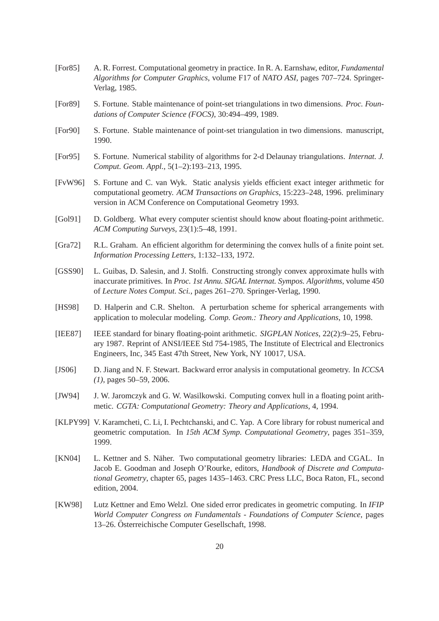- [For85] A. R. Forrest. Computational geometry in practice. In R. A. Earnshaw, editor, *Fundamental Algorithms for Computer Graphics*, volume F17 of *NATO ASI*, pages 707–724. Springer-Verlag, 1985.
- [For89] S. Fortune. Stable maintenance of point-set triangulations in two dimensions. *Proc. Foundations of Computer Science (FOCS)*, 30:494–499, 1989.
- [For90] S. Fortune. Stable maintenance of point-set triangulation in two dimensions. manuscript, 1990.
- [For95] S. Fortune. Numerical stability of algorithms for 2-d Delaunay triangulations. *Internat. J. Comput. Geom. Appl.*, 5(1–2):193–213, 1995.
- [FvW96] S. Fortune and C. van Wyk. Static analysis yields efficient exact integer arithmetic for computational geometry. *ACM Transactions on Graphics*, 15:223–248, 1996. preliminary version in ACM Conference on Computational Geometry 1993.
- [Gol91] D. Goldberg. What every computer scientist should know about floating-point arithmetic. *ACM Computing Surveys*, 23(1):5–48, 1991.
- [Gra72] R.L. Graham. An efficient algorithm for determining the convex hulls of a finite point set. *Information Processing Letters*, 1:132–133, 1972.
- [GSS90] L. Guibas, D. Salesin, and J. Stolfi. Constructing strongly convex approximate hulls with inaccurate primitives. In *Proc. 1st Annu. SIGAL Internat. Sympos. Algorithms*, volume 450 of *Lecture Notes Comput. Sci.*, pages 261–270. Springer-Verlag, 1990.
- [HS98] D. Halperin and C.R. Shelton. A perturbation scheme for spherical arrangements with application to molecular modeling. *Comp. Geom.: Theory and Applications*, 10, 1998.
- [IEE87] IEEE standard for binary floating-point arithmetic. *SIGPLAN Notices*, 22(2):9–25, February 1987. Reprint of ANSI/IEEE Std 754-1985, The Institute of Electrical and Electronics Engineers, Inc, 345 East 47th Street, New York, NY 10017, USA.
- [JS06] D. Jiang and N. F. Stewart. Backward error analysis in computational geometry. In *ICCSA (1)*, pages 50–59, 2006.
- [JW94] J. W. Jaromczyk and G. W. Wasilkowski. Computing convex hull in a floating point arithmetic. *CGTA: Computational Geometry: Theory and Applications*, 4, 1994.
- [KLPY99] V. Karamcheti, C. Li, I. Pechtchanski, and C. Yap. A Core library for robust numerical and geometric computation. In *15th ACM Symp. Computational Geometry*, pages 351–359, 1999.
- [KN04] L. Kettner and S. Näher. Two computational geometry libraries: LEDA and CGAL. In Jacob E. Goodman and Joseph O'Rourke, editors, *Handbook of Discrete and Computational Geometry*, chapter 65, pages 1435–1463. CRC Press LLC, Boca Raton, FL, second edition, 2004.
- [KW98] Lutz Kettner and Emo Welzl. One sided error predicates in geometric computing. In *IFIP World Computer Congress on Fundamentals - Foundations of Computer Science*, pages 13–26. Osterreichische Computer Gesellschaft, 1998. ¨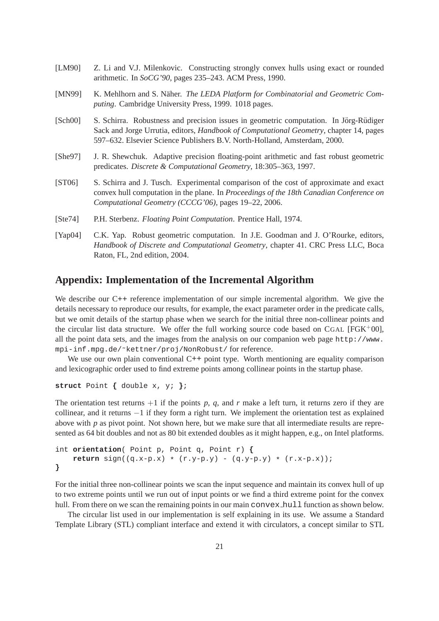- [LM90] Z. Li and V.J. Milenkovic. Constructing strongly convex hulls using exact or rounded arithmetic. In *SoCG'90*, pages 235–243. ACM Press, 1990.
- [MN99] K. Mehlhorn and S. Näher. *The LEDA Platform for Combinatorial and Geometric Computing*. Cambridge University Press, 1999. 1018 pages.
- [Sch00] S. Schirra. Robustness and precision issues in geometric computation. In Jörg-Rüdiger Sack and Jorge Urrutia, editors, *Handbook of Computational Geometry*, chapter 14, pages 597–632. Elsevier Science Publishers B.V. North-Holland, Amsterdam, 2000.
- [She97] J. R. Shewchuk. Adaptive precision floating-point arithmetic and fast robust geometric predicates. *Discrete & Computational Geometry*, 18:305–363, 1997.
- [ST06] S. Schirra and J. Tusch. Experimental comparison of the cost of approximate and exact convex hull computation in the plane. In *Proceedings of the 18th Canadian Conference on Computational Geometry (CCCG'06)*, pages 19–22, 2006.
- [Ste74] P.H. Sterbenz. *Floating Point Computation*. Prentice Hall, 1974.
- [Yap04] C.K. Yap. Robust geometric computation. In J.E. Goodman and J. O'Rourke, editors, *Handbook of Discrete and Computational Geometry*, chapter 41. CRC Press LLC, Boca Raton, FL, 2nd edition, 2004.

# **Appendix: Implementation of the Incremental Algorithm**

We describe our C++ reference implementation of our simple incremental algorithm. We give the details necessary to reproduce our results, for example, the exact parameter order in the predicate calls, but we omit details of the startup phase when we search for the initial three non-collinear points and the circular list data structure. We offer the full working source code based on CGAL  $[FGK^+00]$ , all the point data sets, and the images from the analysis on our companion web page  $http://www.$ mpi-inf.mpg.de/˜kettner/proj/NonRobust/ for reference.

We use our own plain conventional  $C^{++}$  point type. Worth mentioning are equality comparison and lexicographic order used to find extreme points among collinear points in the startup phase.

```
struct Point { double x, y; };
```
The orientation test returns  $+1$  if the points p, q, and r make a left turn, it returns zero if they are collinear, and it returns −1 if they form a right turn. We implement the orientation test as explained above with *p* as pivot point. Not shown here, but we make sure that all intermediate results are represented as 64 bit doubles and not as 80 bit extended doubles as it might happen, e.g., on Intel platforms.

```
int orientation( Point p, Point q, Point r) {
   return sign((g.x-p.x) * (r.y-p.y) - (q.y-p.y) * (r.x-p.x));}
```
For the initial three non-collinear points we scan the input sequence and maintain its convex hull of up to two extreme points until we run out of input points or we find a third extreme point for the convex hull. From there on we scan the remaining points in our main convex hull function as shown below.

The circular list used in our implementation is self explaining in its use. We assume a Standard Template Library (STL) compliant interface and extend it with circulators, a concept similar to STL